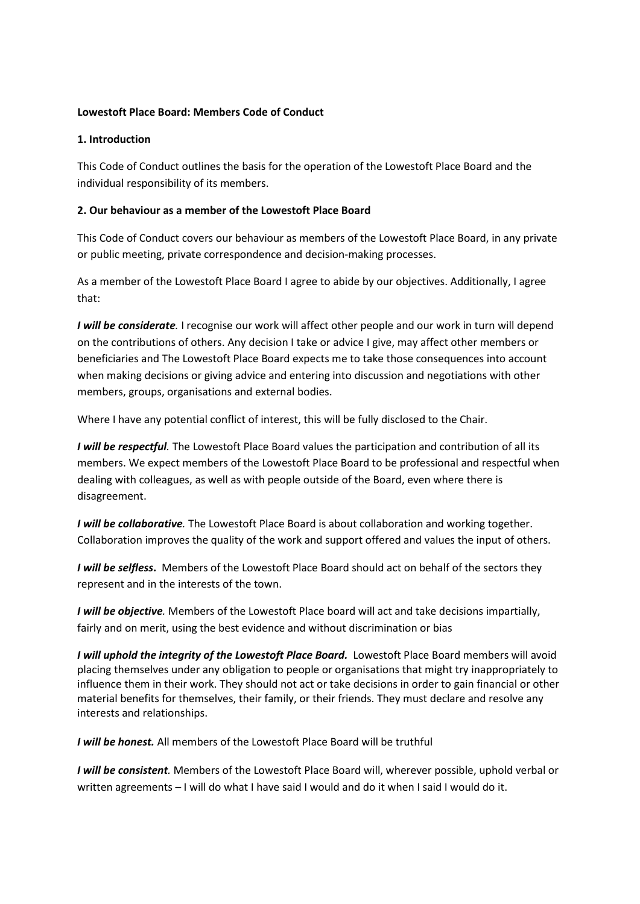### **Lowestoft Place Board: Members Code of Conduct**

## **1. Introduction**

This Code of Conduct outlines the basis for the operation of the Lowestoft Place Board and the individual responsibility of its members.

# **2. Our behaviour as a member of the Lowestoft Place Board**

This Code of Conduct covers our behaviour as members of the Lowestoft Place Board, in any private or public meeting, private correspondence and decision-making processes.

As a member of the Lowestoft Place Board I agree to abide by our objectives. Additionally, I agree that:

*I will be considerate*. I recognise our work will affect other people and our work in turn will depend on the contributions of others. Any decision I take or advice I give, may affect other members or beneficiaries and The Lowestoft Place Board expects me to take those consequences into account when making decisions or giving advice and entering into discussion and negotiations with other members, groups, organisations and external bodies.

Where I have any potential conflict of interest, this will be fully disclosed to the Chair.

*I will be respectful.* The Lowestoft Place Board values the participation and contribution of all its members. We expect members of the Lowestoft Place Board to be professional and respectful when dealing with colleagues, as well as with people outside of the Board, even where there is disagreement.

*I will be collaborative.* The Lowestoft Place Board is about collaboration and working together. Collaboration improves the quality of the work and support offered and values the input of others.

*I will be selfless***.** Members of the Lowestoft Place Board should act on behalf of the sectors they represent and in the interests of the town.

*I will be objective.* Members of the Lowestoft Place board will act and take decisions impartially, fairly and on merit, using the best evidence and without discrimination or bias

*I will uphold the integrity of the Lowestoft Place Board.*Lowestoft Place Board members will avoid placing themselves under any obligation to people or organisations that might try inappropriately to influence them in their work. They should not act or take decisions in order to gain financial or other material benefits for themselves, their family, or their friends. They must declare and resolve any interests and relationships.

*I will be honest.* All members of the Lowestoft Place Board will be truthful

*I will be consistent.* Members of the Lowestoft Place Board will, wherever possible, uphold verbal or written agreements – I will do what I have said I would and do it when I said I would do it.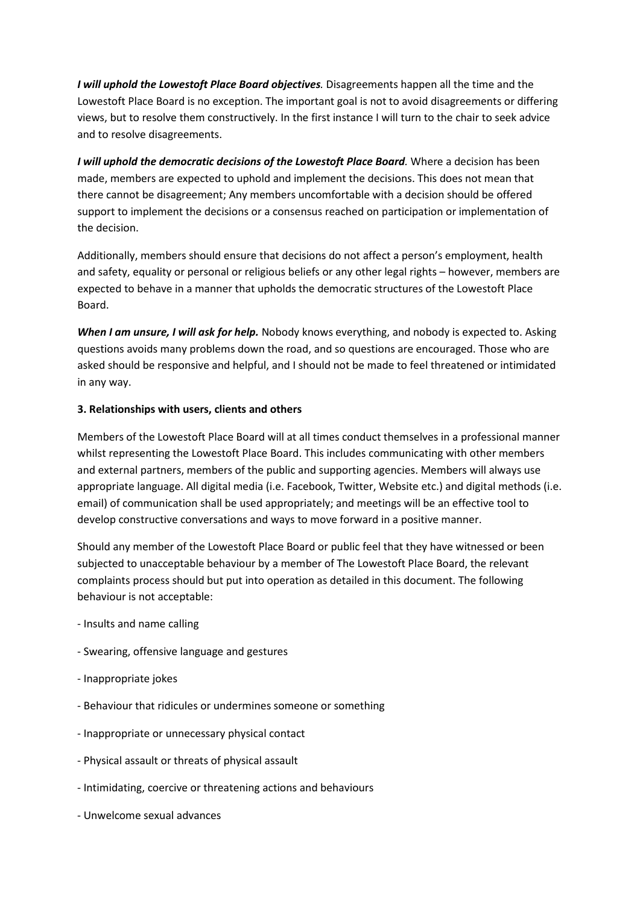*I will uphold the Lowestoft Place Board objectives.* Disagreements happen all the time and the Lowestoft Place Board is no exception. The important goal is not to avoid disagreements or differing views, but to resolve them constructively. In the first instance I will turn to the chair to seek advice and to resolve disagreements.

*I will uphold the democratic decisions of the Lowestoft Place Board.* Where a decision has been made, members are expected to uphold and implement the decisions. This does not mean that there cannot be disagreement; Any members uncomfortable with a decision should be offered support to implement the decisions or a consensus reached on participation or implementation of the decision.

Additionally, members should ensure that decisions do not affect a person's employment, health and safety, equality or personal or religious beliefs or any other legal rights – however, members are expected to behave in a manner that upholds the democratic structures of the Lowestoft Place Board.

*When I am unsure, I will ask for help.* Nobody knows everything, and nobody is expected to. Asking questions avoids many problems down the road, and so questions are encouraged. Those who are asked should be responsive and helpful, and I should not be made to feel threatened or intimidated in any way.

## **3. Relationships with users, clients and others**

Members of the Lowestoft Place Board will at all times conduct themselves in a professional manner whilst representing the Lowestoft Place Board. This includes communicating with other members and external partners, members of the public and supporting agencies. Members will always use appropriate language. All digital media (i.e. Facebook, Twitter, Website etc.) and digital methods (i.e. email) of communication shall be used appropriately; and meetings will be an effective tool to develop constructive conversations and ways to move forward in a positive manner.

Should any member of the Lowestoft Place Board or public feel that they have witnessed or been subjected to unacceptable behaviour by a member of The Lowestoft Place Board, the relevant complaints process should but put into operation as detailed in this document. The following behaviour is not acceptable:

- Insults and name calling
- Swearing, offensive language and gestures
- Inappropriate jokes
- Behaviour that ridicules or undermines someone or something
- Inappropriate or unnecessary physical contact
- Physical assault or threats of physical assault
- Intimidating, coercive or threatening actions and behaviours
- Unwelcome sexual advances